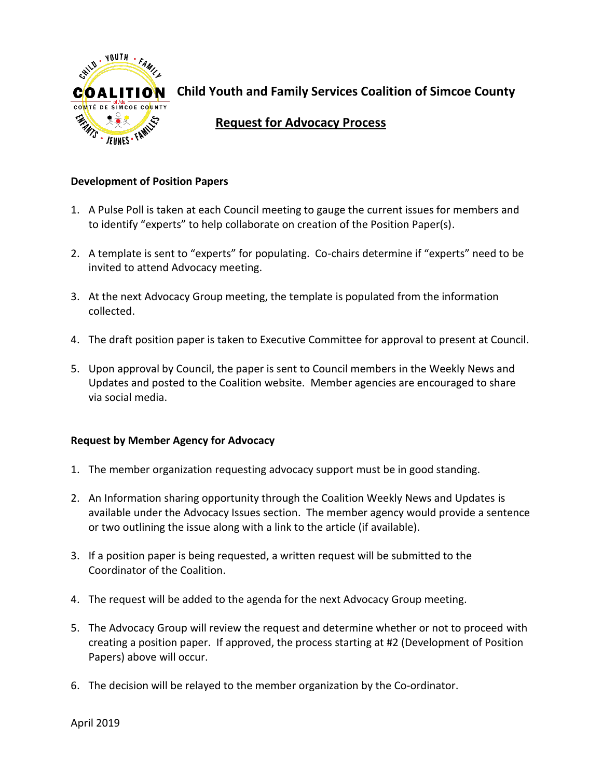

**Child Youth and Family Services Coalition of Simcoe County** 

## **Request for Advocacy Process**

## **Development of Position Papers**

- 1. A Pulse Poll is taken at each Council meeting to gauge the current issues for members and to identify "experts" to help collaborate on creation of the Position Paper(s).
- 2. A template is sent to "experts" for populating. Co-chairs determine if "experts" need to be invited to attend Advocacy meeting.
- 3. At the next Advocacy Group meeting, the template is populated from the information collected.
- 4. The draft position paper is taken to Executive Committee for approval to present at Council.
- 5. Upon approval by Council, the paper is sent to Council members in the Weekly News and Updates and posted to the Coalition website. Member agencies are encouraged to share via social media.

## **Request by Member Agency for Advocacy**

- 1. The member organization requesting advocacy support must be in good standing.
- 2. An Information sharing opportunity through the Coalition Weekly News and Updates is available under the Advocacy Issues section. The member agency would provide a sentence or two outlining the issue along with a link to the article (if available).
- 3. If a position paper is being requested, a written request will be submitted to the Coordinator of the Coalition.
- 4. The request will be added to the agenda for the next Advocacy Group meeting.
- 5. The Advocacy Group will review the request and determine whether or not to proceed with creating a position paper. If approved, the process starting at #2 (Development of Position Papers) above will occur.
- 6. The decision will be relayed to the member organization by the Co-ordinator.